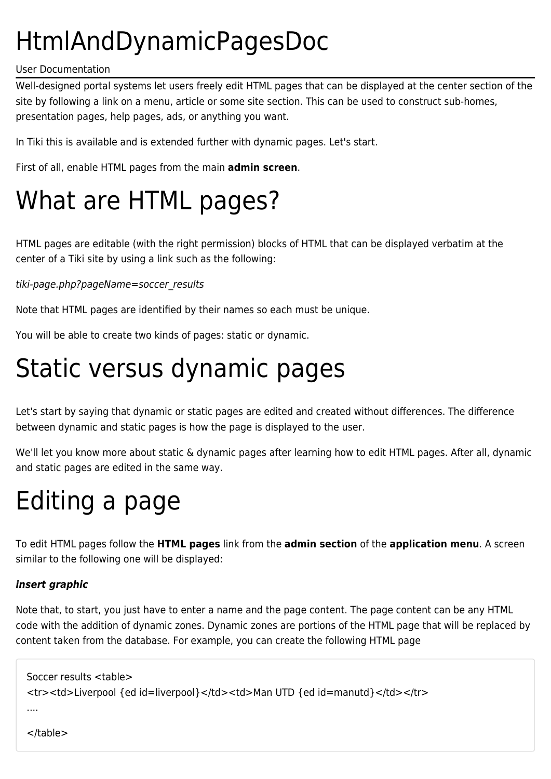# HtmlAndDynamicPagesDoc

#### User Documentation

Well-designed portal systems let users freely edit HTML pages that can be displayed at the center section of the site by following a link on a menu, article or some site section. This can be used to construct sub-homes, presentation pages, help pages, ads, or anything you want.

In Tiki this is available and is extended further with dynamic pages. Let's start.

First of all, enable HTML pages from the main **admin screen**.

# What are HTML pages?

HTML pages are editable (with the right permission) blocks of HTML that can be displayed verbatim at the center of a Tiki site by using a link such as the following:

### tiki-page.php?pageName=soccer\_results

Note that HTML pages are identified by their names so each must be unique.

You will be able to create two kinds of pages: static or dynamic.

### Static versus dynamic pages

Let's start by saying that dynamic or static pages are edited and created without differences. The difference between dynamic and static pages is how the page is displayed to the user.

We'll let you know more about static & dynamic pages after learning how to edit HTML pages. After all, dynamic and static pages are edited in the same way.

# Editing a page

To edit HTML pages follow the **HTML pages** link from the **admin section** of the **application menu**. A screen similar to the following one will be displayed:

### *insert graphic*

</table>

Note that, to start, you just have to enter a name and the page content. The page content can be any HTML code with the addition of dynamic zones. Dynamic zones are portions of the HTML page that will be replaced by content taken from the database. For example, you can create the following HTML page

```
Soccer results <table>
<tr><td>Liverpool {ed id=liverpool}</td><td>Man UTD {ed id=manutd}</td></tr>
....
```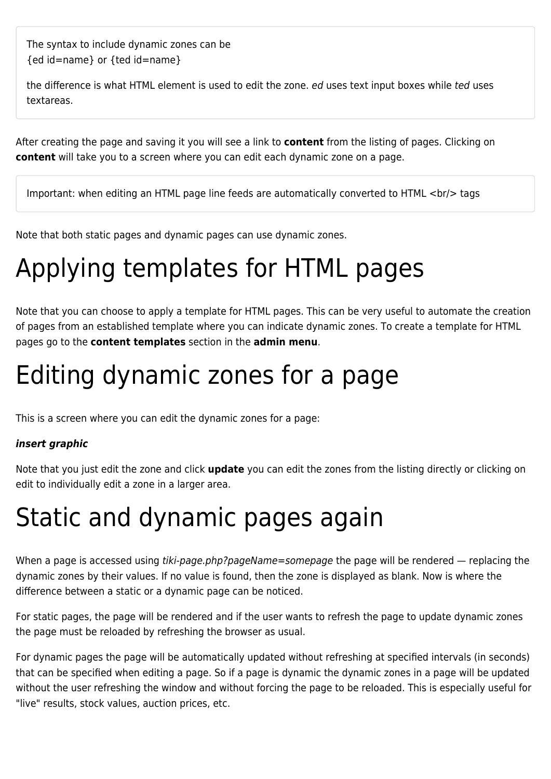The syntax to include dynamic zones can be {ed id=name} or {ted id=name}

the difference is what HTML element is used to edit the zone. ed uses text input boxes while ted uses textareas.

After creating the page and saving it you will see a link to **content** from the listing of pages. Clicking on **content** will take you to a screen where you can edit each dynamic zone on a page.

Important: when editing an HTML page line feeds are automatically converted to HTML <br/>br/>
tags

Note that both static pages and dynamic pages can use dynamic zones.

### Applying templates for HTML pages

Note that you can choose to apply a template for HTML pages. This can be very useful to automate the creation of pages from an established template where you can indicate dynamic zones. To create a template for HTML pages go to the **content templates** section in the **admin menu**.

# Editing dynamic zones for a page

This is a screen where you can edit the dynamic zones for a page:

#### *insert graphic*

Note that you just edit the zone and click **update** you can edit the zones from the listing directly or clicking on edit to individually edit a zone in a larger area.

## Static and dynamic pages again

When a page is accessed using tiki-page.php?pageName=somepage the page will be rendered — replacing the dynamic zones by their values. If no value is found, then the zone is displayed as blank. Now is where the difference between a static or a dynamic page can be noticed.

For static pages, the page will be rendered and if the user wants to refresh the page to update dynamic zones the page must be reloaded by refreshing the browser as usual.

For dynamic pages the page will be automatically updated without refreshing at specified intervals (in seconds) that can be specified when editing a page. So if a page is dynamic the dynamic zones in a page will be updated without the user refreshing the window and without forcing the page to be reloaded. This is especially useful for "live" results, stock values, auction prices, etc.